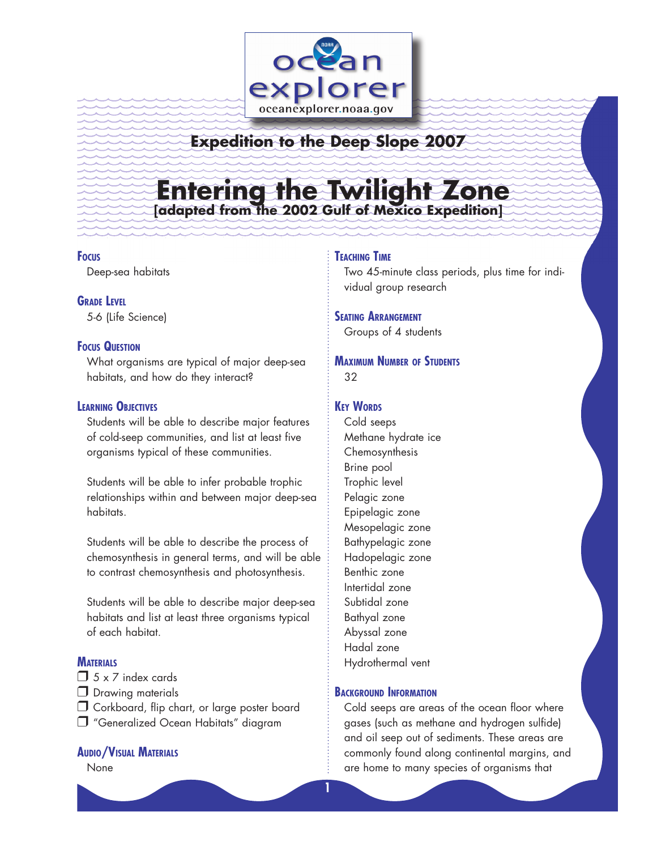

## **Expedition to the Deep Slope 2007**

# **Entering the Twilight Zone [adapted from the 2002 Gulf of Mexico Expedition]**

#### **Focus**

Deep-sea habitats

**GRADE LEVEL** 5-6 (Life Science)

#### **Focus Question**

What organisms are typical of major deep-sea habitats, and how do they interact?

#### **Learning Objectives**

Students will be able to describe major features of cold-seep communities, and list at least five organisms typical of these communities.

Students will be able to infer probable trophic relationships within and between major deep-sea habitats.

Students will be able to describe the process of chemosynthesis in general terms, and will be able to contrast chemosynthesis and photosynthesis.

Students will be able to describe major deep-sea habitats and list at least three organisms typical of each habitat.

#### **MATERIALS**

- $\Box$  5 x 7 index cards
- D Drawing materials
- O Corkboard, flip chart, or large poster board
- □ "Generalized Ocean Habitats" diagram

#### **Audio/Visual Materials**

None

#### **Teaching Time**

Two 45-minute class periods, plus time for individual group research

#### **Seating Arrangement**

Groups of 4 students

#### **Maximum Number of Students** 32

#### **KEY WORDS**

Cold seeps Methane hydrate ice Chemosynthesis Brine pool Trophic level Pelagic zone Epipelagic zone Mesopelagic zone Bathypelagic zone Hadopelagic zone Benthic zone Intertidal zone Subtidal zone Bathyal zone Abyssal zone Hadal zone Hydrothermal vent

#### **Background Information**

Cold seeps are areas of the ocean floor where gases (such as methane and hydrogen sulfide) and oil seep out of sediments. These areas are commonly found along continental margins, and are home to many species of organisms that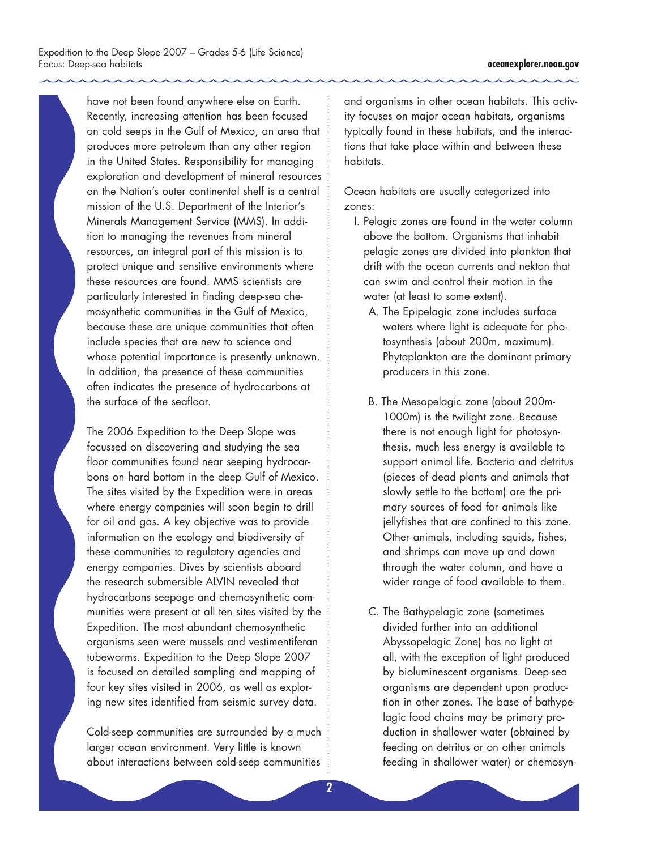have not been found anywhere else on Earth. Recently, increasing attention has been focused on cold seeps in the Gulf of Mexico, an area that produces more petroleum than any other region in the United States. Responsibility for managing exploration and development of mineral resources on the Nation's outer continental shelf is a central mission of the U.S. Department of the Interior's Minerals Management Service (MMS). In addition to managing the revenues from mineral resources, an integral part of this mission is to protect unique and sensitive environments where these resources are found. MMS scientists are particularly interested in finding deep-sea chemosynthetic communities in the Gulf of Mexico, because these are unique communities that often include species that are new to science and whose potential importance is presently unknown. In addition, the presence of these communities often indicates the presence of hydrocarbons at the surface of the seafloor.

The 2006 Expedition to the Deep Slope was focussed on discovering and studying the sea floor communities found near seeping hydrocarbons on hard bottom in the deep Gulf of Mexico. The sites visited by the Expedition were in areas where energy companies will soon begin to drill for oil and gas. A key objective was to provide information on the ecology and biodiversity of these communities to regulatory agencies and energy companies. Dives by scientists aboard the research submersible ALVIN revealed that hydrocarbons seepage and chemosynthetic communities were present at all ten sites visited by the Expedition. The most abundant chemosynthetic organisms seen were mussels and vestimentiferan tubeworms. Expedition to the Deep Slope 2007 is focused on detailed sampling and mapping of four key sites visited in 2006, as well as exploring new sites identified from seismic survey data.

Cold-seep communities are surrounded by a much larger ocean environment. Very little is known about interactions between cold-seep communities

and organisms in other ocean habitats. This activity focuses on major ocean habitats, organisms typically found in these habitats, and the interactions that take place within and between these habitats.

Ocean habitats are usually categorized into zones:

- I. Pelagic zones are found in the water column above the bottom. Organisms that inhabit pelagic zones are divided into plankton that drift with the ocean currents and nekton that can swim and control their motion in the water (at least to some extent).
	- A. The Epipelagic zone includes surface waters where light is adequate for photosynthesis (about 200m, maximum). Phytoplankton are the dominant primary producers in this zone.
	- B. The Mesopelagic zone (about 200m-1000m) is the twilight zone. Because there is not enough light for photosynthesis, much less energy is available to support animal life. Bacteria and detritus (pieces of dead plants and animals that slowly settle to the bottom) are the primary sources of food for animals like jellyfishes that are confined to this zone. Other animals, including squids, fishes, and shrimps can move up and down through the water column, and have a wider range of food available to them.
	- C. The Bathypelagic zone (sometimes divided further into an additional Abyssopelagic Zone) has no light at all, with the exception of light produced by bioluminescent organisms. Deep-sea organisms are dependent upon production in other zones. The base of bathypelagic food chains may be primary production in shallower water (obtained by feeding on detritus or on other animals feeding in shallower water) or chemosyn-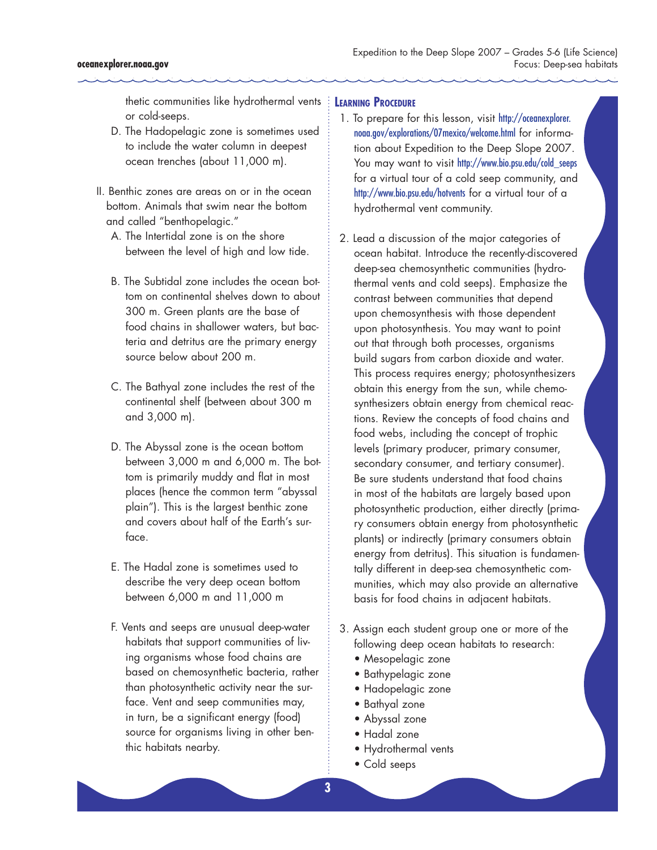thetic communities like hydrothermal vents **Learning Procedure** or cold-seeps.

- D. The Hadopelagic zone is sometimes used to include the water column in deepest ocean trenches (about 11,000 m).
- II. Benthic zones are areas on or in the ocean bottom. Animals that swim near the bottom and called "benthopelagic."
	- A. The Intertidal zone is on the shore between the level of high and low tide.
	- B. The Subtidal zone includes the ocean bottom on continental shelves down to about 300 m. Green plants are the base of food chains in shallower waters, but bacteria and detritus are the primary energy source below about 200 m.
	- C. The Bathyal zone includes the rest of the continental shelf (between about 300 m and 3,000 m).
	- D. The Abyssal zone is the ocean bottom between 3,000 m and 6,000 m. The bottom is primarily muddy and flat in most places (hence the common term "abyssal plain"). This is the largest benthic zone and covers about half of the Earth's surface.
	- E. The Hadal zone is sometimes used to describe the very deep ocean bottom between 6,000 m and 11,000 m
	- F. Vents and seeps are unusual deep-water habitats that support communities of living organisms whose food chains are based on chemosynthetic bacteria, rather than photosynthetic activity near the surface. Vent and seep communities may, in turn, be a significant energy (food) source for organisms living in other benthic habitats nearby.

- 1. To prepare for this lesson, visit http://oceanexplorer. noaa.gov/explorations/07mexico/welcome.html for information about Expedition to the Deep Slope 2007. You may want to visit http://www.bio.psu.edu/cold\_seeps for a virtual tour of a cold seep community, and http://www.bio.psu.edu/hotvents for a virtual tour of a hydrothermal vent community.
- 2. Lead a discussion of the major categories of ocean habitat. Introduce the recently-discovered deep-sea chemosynthetic communities (hydrothermal vents and cold seeps). Emphasize the contrast between communities that depend upon chemosynthesis with those dependent upon photosynthesis. You may want to point out that through both processes, organisms build sugars from carbon dioxide and water. This process requires energy; photosynthesizers obtain this energy from the sun, while chemosynthesizers obtain energy from chemical reactions. Review the concepts of food chains and food webs, including the concept of trophic levels (primary producer, primary consumer, secondary consumer, and tertiary consumer). Be sure students understand that food chains in most of the habitats are largely based upon photosynthetic production, either directly (primary consumers obtain energy from photosynthetic plants) or indirectly (primary consumers obtain energy from detritus). This situation is fundamentally different in deep-sea chemosynthetic communities, which may also provide an alternative basis for food chains in adjacent habitats.
- 3. Assign each student group one or more of the following deep ocean habitats to research:
	- Mesopelagic zone
	- Bathypelagic zone
	- Hadopelagic zone
	- Bathyal zone
	- Abyssal zone
	- Hadal zone
	- Hydrothermal vents
	- Cold seeps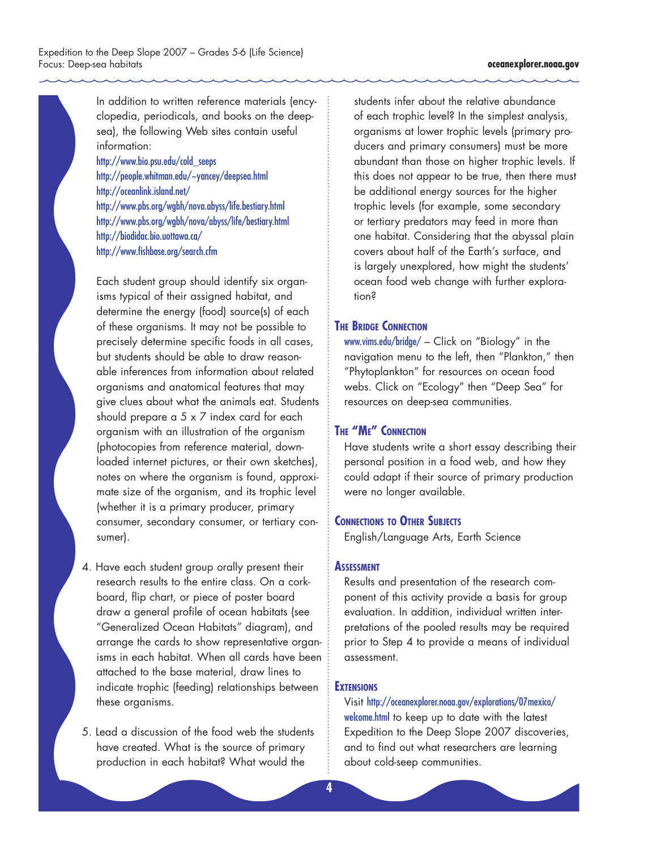In addition to written reference materials (encyclopedia, periodicals, and books on the deepsea), the following Web sites contain useful information:

http://www.bio.psu.edu/cold\_seeps http://people.whitman.edu/~yancey/deepsea.html http://oceanlink.island.net/ http://www.pbs.org/wgbh/nova.abyss/life.bestiary.html http://www.pbs.org/wgbh/nova/abyss/life/bestiary.html http://biodidac.bio.uottawa.ca/ http://www.fishbase.org/search.cfm

Each student group should identify six organisms typical of their assigned habitat, and determine the energy (food) source(s) of each of these organisms. It may not be possible to precisely determine specific foods in all cases, but students should be able to draw reasonable inferences from information about related organisms and anatomical features that may give clues about what the animals eat. Students should prepare a 5 x 7 index card for each organism with an illustration of the organism (photocopies from reference material, downloaded internet pictures, or their own sketches), notes on where the organism is found, approximate size of the organism, and its trophic level (whether it is a primary producer, primary consumer, secondary consumer, or tertiary consumer).

4. Have each student group orally present their research results to the entire class. On a corkboard, flip chart, or piece of poster board draw a general profile of ocean habitats (see "Generalized Ocean Habitats" diagram), and arrange the cards to show representative organisms in each habitat. When all cards have been attached to the base material, draw lines to indicate trophic (feeding) relationships between these organisms.

5. Lead a discussion of the food web the students have created. What is the source of primary production in each habitat? What would the

students infer about the relative abundance of each trophic level? In the simplest analysis, organisms at lower trophic levels (primary producers and primary consumers) must be more abundant than those on higher trophic levels. If this does not appear to be true, then there must be additional energy sources for the higher trophic levels (for example, some secondary or tertiary predators may feed in more than one habitat. Considering that the abyssal plain covers about half of the Earth's surface, and is largely unexplored, how might the students' ocean food web change with further exploration?

#### **The Bridge Connection**

www.vims.edu/bridge/ – Click on "Biology" in the navigation menu to the left, then "Plankton," then "Phytoplankton" for resources on ocean food webs. Click on "Ecology" then "Deep Sea" for resources on deep-sea communities.

#### **The "Me" Connection**

Have students write a short essay describing their personal position in a food web, and how they could adapt if their source of primary production were no longer available.

#### **Connections to Other Subjects**

English/Language Arts, Earth Science

#### **ASSESSMENT**

Results and presentation of the research component of this activity provide a basis for group evaluation. In addition, individual written interpretations of the pooled results may be required prior to Step 4 to provide a means of individual assessment.

#### **EXTENSIONS**

Visit http://oceanexplorer.noaa.gov/explorations/07mexico/ welcome.html to keep up to date with the latest Expedition to the Deep Slope 2007 discoveries, and to find out what researchers are learning about cold-seep communities.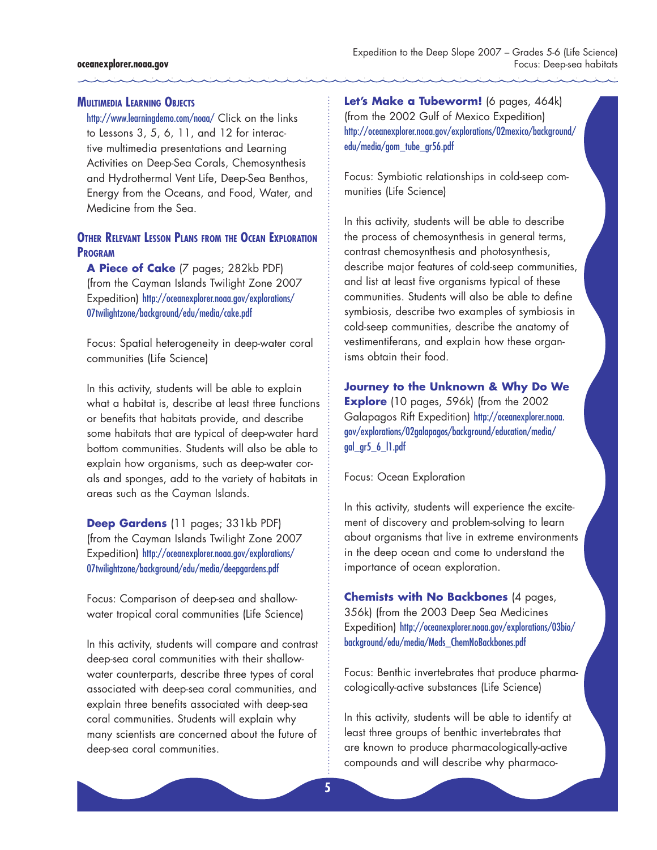#### **Multimedia Learning Objects**

http://www.learningdemo.com/noaa/ Click on the links to Lessons 3, 5, 6, 11, and 12 for interactive multimedia presentations and Learning Activities on Deep-Sea Corals, Chemosynthesis and Hydrothermal Vent Life, Deep-Sea Benthos, Energy from the Oceans, and Food, Water, and Medicine from the Sea.

#### **Other Relevant Lesson Plans from the Ocean Exploration Program**

**A Piece of Cake** (7 pages; 282kb PDF) (from the Cayman Islands Twilight Zone 2007 Expedition) http://oceanexplorer.noaa.gov/explorations/ 07twilightzone/background/edu/media/cake.pdf

Focus: Spatial heterogeneity in deep-water coral communities (Life Science)

In this activity, students will be able to explain what a habitat is, describe at least three functions or benefits that habitats provide, and describe some habitats that are typical of deep-water hard bottom communities. Students will also be able to explain how organisms, such as deep-water corals and sponges, add to the variety of habitats in areas such as the Cayman Islands.

**Deep Gardens** (11 pages; 331kb PDF) (from the Cayman Islands Twilight Zone 2007 Expedition) http://oceanexplorer.noaa.gov/explorations/ 07twilightzone/background/edu/media/deepgardens.pdf

Focus: Comparison of deep-sea and shallowwater tropical coral communities (Life Science)

In this activity, students will compare and contrast deep-sea coral communities with their shallowwater counterparts, describe three types of coral associated with deep-sea coral communities, and explain three benefits associated with deep-sea coral communities. Students will explain why many scientists are concerned about the future of deep-sea coral communities.

Let's Make a Tubeworm! (6 pages, 464k) (from the 2002 Gulf of Mexico Expedition) http://oceanexplorer.noaa.gov/explorations/02mexico/background/ edu/media/gom\_tube\_gr56.pdf

Focus: Symbiotic relationships in cold-seep communities (Life Science)

In this activity, students will be able to describe the process of chemosynthesis in general terms, contrast chemosynthesis and photosynthesis, describe major features of cold-seep communities, and list at least five organisms typical of these communities. Students will also be able to define symbiosis, describe two examples of symbiosis in cold-seep communities, describe the anatomy of vestimentiferans, and explain how these organisms obtain their food.

**Journey to the Unknown & Why Do We Explore** (10 pages, 596k) (from the 2002 Galapagos Rift Expedition) http://oceanexplorer.noaa. gov/explorations/02galapagos/background/education/media/ gal\_gr5\_6\_l1.pdf

Focus: Ocean Exploration

In this activity, students will experience the excitement of discovery and problem-solving to learn about organisms that live in extreme environments in the deep ocean and come to understand the importance of ocean exploration.

**Chemists with No Backbones** (4 pages, 356k) (from the 2003 Deep Sea Medicines Expedition) http://oceanexplorer.noaa.gov/explorations/03bio/ background/edu/media/Meds\_ChemNoBackbones.pdf

Focus: Benthic invertebrates that produce pharmacologically-active substances (Life Science)

In this activity, students will be able to identify at least three groups of benthic invertebrates that are known to produce pharmacologically-active compounds and will describe why pharmaco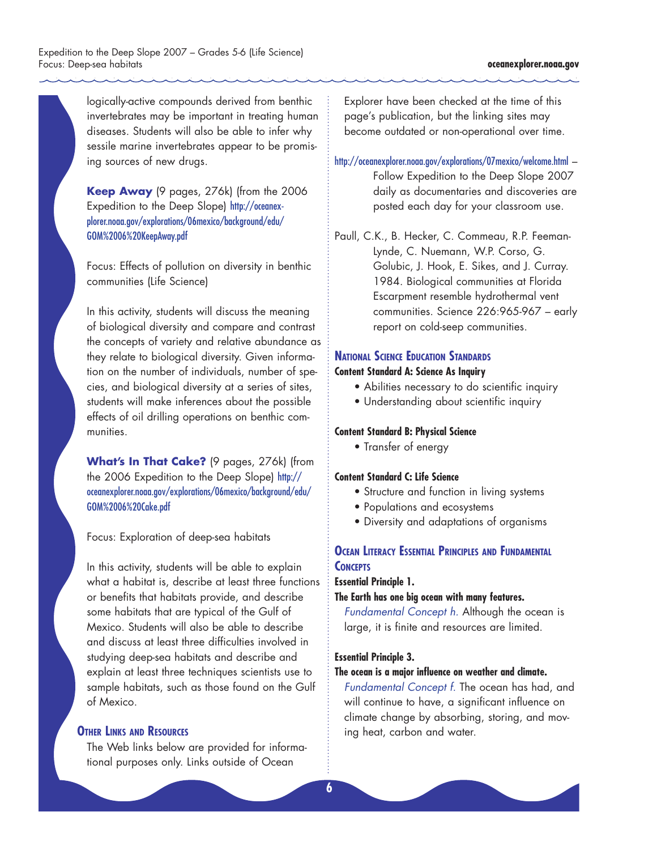logically-active compounds derived from benthic invertebrates may be important in treating human diseases. Students will also be able to infer why sessile marine invertebrates appear to be promising sources of new drugs.

**Keep Away** (9 pages, 276k) (from the 2006 Expedition to the Deep Slope) http://oceanexplorer.noaa.gov/explorations/06mexico/background/edu/ GOM%2006%20KeepAway.pdf

Focus: Effects of pollution on diversity in benthic communities (Life Science)

In this activity, students will discuss the meaning of biological diversity and compare and contrast the concepts of variety and relative abundance as they relate to biological diversity. Given information on the number of individuals, number of species, and biological diversity at a series of sites, students will make inferences about the possible effects of oil drilling operations on benthic communities.

**What's In That Cake?** (9 pages, 276k) (from the 2006 Expedition to the Deep Slope) http:// oceanexplorer.noaa.gov/explorations/06mexico/background/edu/ GOM%2006%20Cake.pdf

Focus: Exploration of deep-sea habitats

In this activity, students will be able to explain what a habitat is, describe at least three functions or benefits that habitats provide, and describe some habitats that are typical of the Gulf of Mexico. Students will also be able to describe and discuss at least three difficulties involved in studying deep-sea habitats and describe and explain at least three techniques scientists use to sample habitats, such as those found on the Gulf of Mexico.

#### **Other Links and Resources**

The Web links below are provided for informational purposes only. Links outside of Ocean

Explorer have been checked at the time of this page's publication, but the linking sites may become outdated or non-operational over time.

http://oceanexplorer.noaa.gov/explorations/07mexico/welcome.html – Follow Expedition to the Deep Slope 2007 daily as documentaries and discoveries are posted each day for your classroom use.

Paull, C.K., B. Hecker, C. Commeau, R.P. Feeman-Lynde, C. Nuemann, W.P. Corso, G. Golubic, J. Hook, E. Sikes, and J. Curray. 1984. Biological communities at Florida Escarpment resemble hydrothermal vent communities. Science 226:965-967 – early report on cold-seep communities.

#### **National Science Education Standards**

#### **Content Standard A: Science As Inquiry**

- Abilities necessary to do scientific inquiry
- Understanding about scientific inquiry

#### **Content Standard B: Physical Science**

• Transfer of energy

#### **Content Standard C: Life Science**

- Structure and function in living systems
- Populations and ecosystems
- Diversity and adaptations of organisms

### **Ocean Literacy Essential Principles and Fundamental CONCEPTS**

#### **Essential Principle 1.**

#### **The Earth has one big ocean with many features.**

*Fundamental Concept h.* Although the ocean is large, it is finite and resources are limited.

#### **Essential Principle 3.**

#### **The ocean is a major influence on weather and climate.**

*Fundamental Concept f.* The ocean has had, and will continue to have, a significant influence on climate change by absorbing, storing, and moving heat, carbon and water.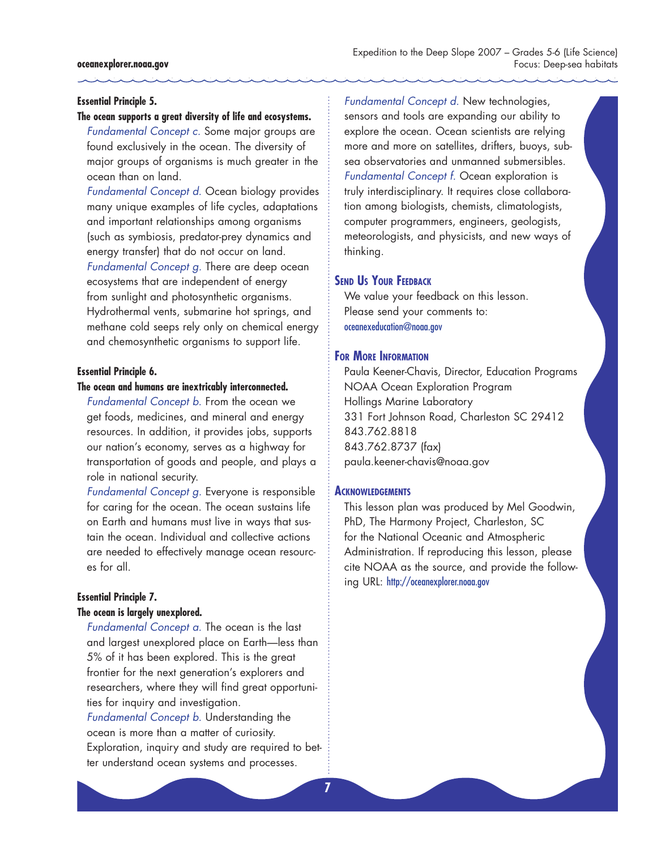#### **Essential Principle 5.**

#### **The ocean supports a great diversity of life and ecosystems.**

*Fundamental Concept c.* Some major groups are found exclusively in the ocean. The diversity of major groups of organisms is much greater in the ocean than on land.

*Fundamental Concept d.* Ocean biology provides many unique examples of life cycles, adaptations and important relationships among organisms (such as symbiosis, predator-prey dynamics and energy transfer) that do not occur on land. *Fundamental Concept g.* There are deep ocean ecosystems that are independent of energy from sunlight and photosynthetic organisms. Hydrothermal vents, submarine hot springs, and methane cold seeps rely only on chemical energy and chemosynthetic organisms to support life.

#### **Essential Principle 6.**

#### **The ocean and humans are inextricably interconnected.**

*Fundamental Concept b.* From the ocean we get foods, medicines, and mineral and energy resources. In addition, it provides jobs, supports our nation's economy, serves as a highway for transportation of goods and people, and plays a role in national security.

*Fundamental Concept g.* Everyone is responsible for caring for the ocean. The ocean sustains life on Earth and humans must live in ways that sustain the ocean. Individual and collective actions are needed to effectively manage ocean resources for all.

#### **Essential Principle 7. The ocean is largely unexplored.**

*Fundamental Concept a.* The ocean is the last and largest unexplored place on Earth—less than 5% of it has been explored. This is the great frontier for the next generation's explorers and researchers, where they will find great opportunities for inquiry and investigation. *Fundamental Concept b.* Understanding the

ocean is more than a matter of curiosity. Exploration, inquiry and study are required to better understand ocean systems and processes.

*Fundamental Concept d.* New technologies, sensors and tools are expanding our ability to explore the ocean. Ocean scientists are relying more and more on satellites, drifters, buoys, subsea observatories and unmanned submersibles. *Fundamental Concept f.* Ocean exploration is truly interdisciplinary. It requires close collaboration among biologists, chemists, climatologists, computer programmers, engineers, geologists, meteorologists, and physicists, and new ways of thinking.

#### **Send Us Your Feedback**

We value your feedback on this lesson. Please send your comments to: oceanexeducation@noaa.gov

#### **For More Information**

Paula Keener-Chavis, Director, Education Programs NOAA Ocean Exploration Program Hollings Marine Laboratory 331 Fort Johnson Road, Charleston SC 29412 843.762.8818 843.762.8737 (fax) paula.keener-chavis@noaa.gov

#### **Acknowledgements**

This lesson plan was produced by Mel Goodwin, PhD, The Harmony Project, Charleston, SC for the National Oceanic and Atmospheric Administration. If reproducing this lesson, please cite NOAA as the source, and provide the following URL: http://oceanexplorer.noaa.gov